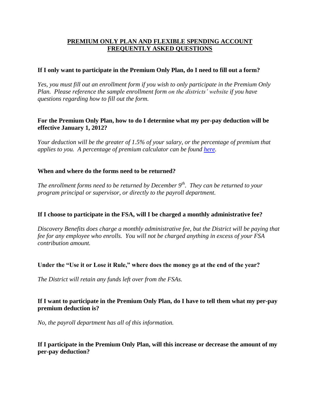# **PREMIUM ONLY PLAN AND FLEXIBLE SPENDING ACCOUNT FREQUENTLY ASKED QUESTIONS**

### **If I only want to participate in the Premium Only Plan, do I need to fill out a form?**

*Yes, you must fill out an enrollment form if you wish to only participate in the Premium Only Plan. Please reference the sample enrollment form on the districts' website if you have questions regarding how to fill out the form.* 

## **For the Premium Only Plan, how to do I determine what my per-pay deduction will be effective January 1, 2012?**

*Your deduction will be the greater of 1.5% of your salary, or the percentage of premium that applies to you. A percentage of premium calculator can be found [here.](http://www.nj.gov/treasury/pensions/hb-percentage12-ed.shtml)*

### **When and where do the forms need to be returned?**

*The enrollment forms need to be returned by December 9th. They can be returned to your program principal or supervisor, or directly to the payroll department.* 

# **If I choose to participate in the FSA, will I be charged a monthly administrative fee?**

*Discovery Benefits does charge a monthly administrative fee, but the District will be paying that fee for any employee who enrolls. You will not be charged anything in excess of your FSA contribution amount.*

#### **Under the "Use it or Lose it Rule," where does the money go at the end of the year?**

*The District will retain any funds left over from the FSAs.* 

# **If I want to participate in the Premium Only Plan, do I have to tell them what my per-pay premium deduction is?**

*No, the payroll department has all of this information.*

### **If I participate in the Premium Only Plan, will this increase or decrease the amount of my per-pay deduction?**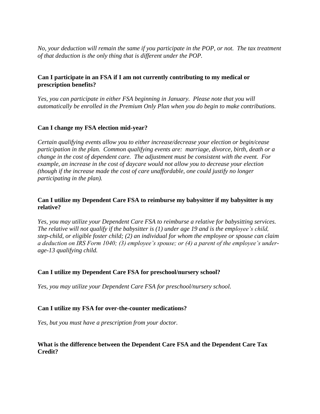*No, your deduction will remain the same if you participate in the POP, or not. The tax treatment of that deduction is the only thing that is different under the POP.* 

### **Can I participate in an FSA if I am not currently contributing to my medical or prescription benefits?**

*Yes, you can participate in either FSA beginning in January. Please note that you will automatically be enrolled in the Premium Only Plan when you do begin to make contributions.*

### **Can I change my FSA election mid-year?**

*Certain qualifying events allow you to either increase/decrease your election or begin/cease participation in the plan. Common qualifying events are: marriage, divorce, birth, death or a change in the cost of dependent care. The adjustment must be consistent with the event. For example, an increase in the cost of daycare would not allow you to decrease your election (though if the increase made the cost of care unaffordable, one could justify no longer participating in the plan).* 

### **Can I utilize my Dependent Care FSA to reimburse my babysitter if my babysitter is my relative?**

*Yes, you may utilize your Dependent Care FSA to reimburse a relative for babysitting services. The relative will not qualify if the babysitter is (1) under age 19 and is the employee's child, step-child, or eligible foster child; (2) an individual for whom the employee or spouse can claim a deduction on IRS Form 1040; (3) employee's spouse; or (4) a parent of the employee's underage-13 qualifying child.*

#### **Can I utilize my Dependent Care FSA for preschool/nursery school?**

*Yes, you may utilize your Dependent Care FSA for preschool/nursery school.*

#### **Can I utilize my FSA for over-the-counter medications?**

*Yes, but you must have a prescription from your doctor.* 

### **What is the difference between the Dependent Care FSA and the Dependent Care Tax Credit?**